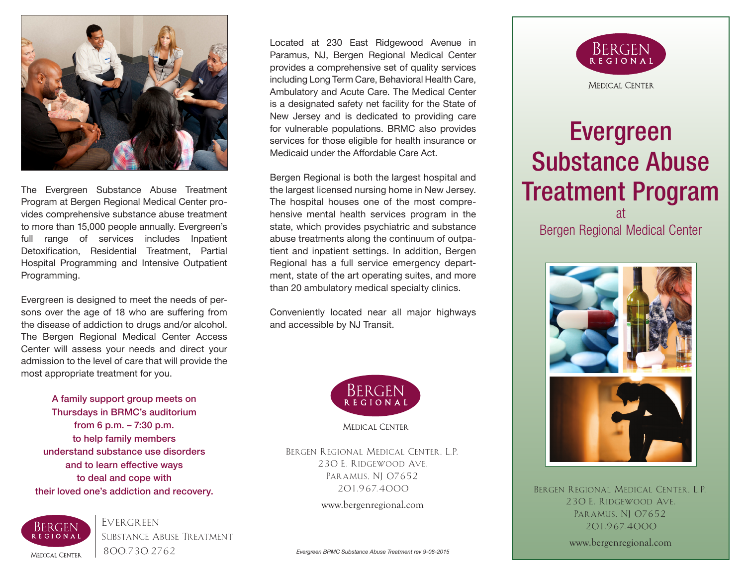

The Evergreen Substance Abuse Treatment Program at Bergen Regional Medical Center provides comprehensive substance abuse treatment to more than 15,000 people annually. Evergreen's full range of services includes Inpatient Detoxification, Residential Treatment, Partial Hospital Programming and Intensive Outpatient Programming.

Evergreen is designed to meet the needs of persons over the age of 18 who are suffering from the disease of addiction to drugs and/or alcohol. The Bergen Regional Medical Center Access Center will assess your needs and direct your admission to the level of care that will provide the most appropriate treatment for you.

A family support group meets on Thursdays in BRMC's auditorium from 6 p.m. – 7:30 p.m. to help family members understand substance use disorders and to learn effective ways to deal and cope with their loved one's addiction and recovery.  $201.967.4000$  BERGEN REGIONAL MEDICAL CENTER, L.P.



Evergreen Substance Abuse Treatment 800.730.2762

Located at 230 East Ridgewood Avenue in Paramus, NJ, Bergen Regional Medical Center provides a comprehensive set of quality services including Long Term Care, Behavioral Health Care, Ambulatory and Acute Care. The Medical Center is a designated safety net facility for the State of New Jersey and is dedicated to providing care for vulnerable populations. BRMC also provides services for those eligible for health insurance or Medicaid under the Affordable Care Act.

Bergen Regional is both the largest hospital and the largest licensed nursing home in New Jersey. The hospital houses one of the most comprehensive mental health services program in the state, which provides psychiatric and substance abuse treatments along the continuum of outpatient and inpatient settings. In addition, Bergen Regional has a full service emergency department, state of the art operating suites, and more than 20 ambulatory medical specialty clinics.

Conveniently located near all major highways and accessible by NJ Transit.



Bergen Regional Medical Center, L.P. 230 E. Ridgewood Ave. PARAMUS, NJ 07652 201.967.4000

www.bergenregional.com



# Evergreen Substance Abuse Treatment Program

at Bergen Regional Medical Center



230 E. Ridgewood Ave. PARAMUS, NJ 07652 201.967.4000

www.bergenregional.com